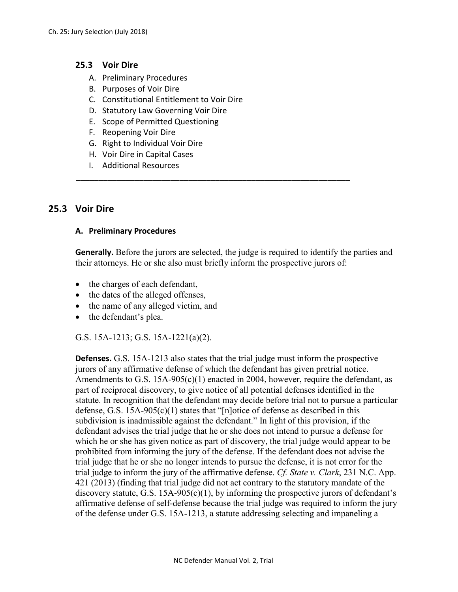#### **25.3 Voir Dire**

- A. Preliminary Procedures
- B. Purposes of Voir Dire
- C. Constitutional Entitlement to Voir Dire
- D. Statutory Law Governing Voir Dire
- E. Scope of Permitted Questioning
- F. Reopening Voir Dire
- G. Right to Individual Voir Dire
- H. Voir Dire in Capital Cases
- I. Additional Resources

# **25.3 Voir Dire**

### **A. Preliminary Procedures**

**Generally.** Before the jurors are selected, the judge is required to identify the parties and their attorneys. He or she also must briefly inform the prospective jurors of:

\_\_\_\_\_\_\_\_\_\_\_\_\_\_\_\_\_\_\_\_\_\_\_\_\_\_\_\_\_\_\_\_\_\_\_\_\_\_\_\_\_\_\_\_\_\_\_\_\_\_\_\_\_\_\_\_\_\_\_\_\_

- the charges of each defendant,
- the dates of the alleged offenses,
- the name of any alleged victim, and
- the defendant's plea.

## G.S. 15A-1213; G.S. 15A-1221(a)(2).

**Defenses.** G.S. 15A-1213 also states that the trial judge must inform the prospective jurors of any affirmative defense of which the defendant has given pretrial notice. Amendments to G.S. 15A-905(c)(1) enacted in 2004, however, require the defendant, as part of reciprocal discovery, to give notice of all potential defenses identified in the statute. In recognition that the defendant may decide before trial not to pursue a particular defense, G.S.  $15A-905(c)(1)$  states that "[n]otice of defense as described in this subdivision is inadmissible against the defendant." In light of this provision, if the defendant advises the trial judge that he or she does not intend to pursue a defense for which he or she has given notice as part of discovery, the trial judge would appear to be prohibited from informing the jury of the defense. If the defendant does not advise the trial judge that he or she no longer intends to pursue the defense, it is not error for the trial judge to inform the jury of the affirmative defense. *Cf. State v. Clark*, 231 N.C. App. 421 (2013) (finding that trial judge did not act contrary to the statutory mandate of the discovery statute, G.S. 15A-905(c)(1), by informing the prospective jurors of defendant's affirmative defense of self-defense because the trial judge was required to inform the jury of the defense under G.S. 15A-1213, a statute addressing selecting and impaneling a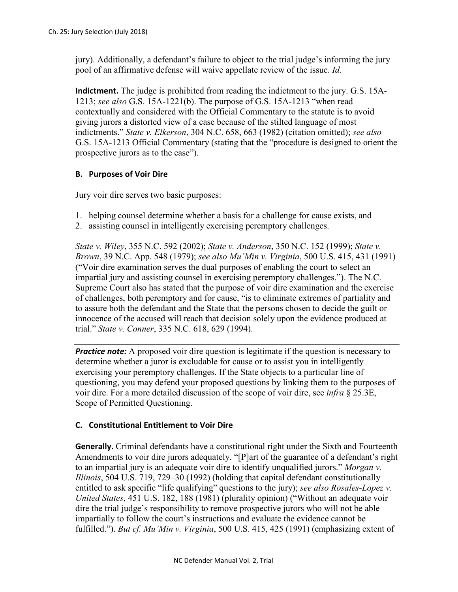jury). Additionally, a defendant's failure to object to the trial judge's informing the jury pool of an affirmative defense will waive appellate review of the issue. *Id.*

**Indictment.** The judge is prohibited from reading the indictment to the jury. G.S. 15A-1213; *see also* G.S. 15A-1221(b). The purpose of G.S. 15A-1213 "when read contextually and considered with the Official Commentary to the statute is to avoid giving jurors a distorted view of a case because of the stilted language of most indictments." *State v. Elkerson*, 304 N.C. 658, 663 (1982) (citation omitted); *see also* G.S. 15A-1213 Official Commentary (stating that the "procedure is designed to orient the prospective jurors as to the case").

# **B. Purposes of Voir Dire**

Jury voir dire serves two basic purposes:

- 1. helping counsel determine whether a basis for a challenge for cause exists, and
- 2. assisting counsel in intelligently exercising peremptory challenges.

*State v. Wiley*, 355 N.C. 592 (2002); *State v. Anderson*, 350 N.C. 152 (1999); *State v. Brown*, 39 N.C. App. 548 (1979); *see also Mu'Min v. Virginia*, 500 U.S. 415, 431 (1991) ("Voir dire examination serves the dual purposes of enabling the court to select an impartial jury and assisting counsel in exercising peremptory challenges."). The N.C. Supreme Court also has stated that the purpose of voir dire examination and the exercise of challenges, both peremptory and for cause, "is to eliminate extremes of partiality and to assure both the defendant and the State that the persons chosen to decide the guilt or innocence of the accused will reach that decision solely upon the evidence produced at trial." *State v. Conner*, 335 N.C. 618, 629 (1994).

*Practice note:* A proposed voir dire question is legitimate if the question is necessary to determine whether a juror is excludable for cause or to assist you in intelligently exercising your peremptory challenges. If the State objects to a particular line of questioning, you may defend your proposed questions by linking them to the purposes of voir dire. For a more detailed discussion of the scope of voir dire, see *infra* § 25.3E, Scope of Permitted Questioning.

## **C. Constitutional Entitlement to Voir Dire**

**Generally.** Criminal defendants have a constitutional right under the Sixth and Fourteenth Amendments to voir dire jurors adequately. "[P]art of the guarantee of a defendant's right to an impartial jury is an adequate voir dire to identify unqualified jurors." *Morgan v. Illinois*, 504 U.S. 719, 729–30 (1992) (holding that capital defendant constitutionally entitled to ask specific "life qualifying" questions to the jury); *see also Rosales-Lopez v. United States*, 451 U.S. 182, 188 (1981) (plurality opinion) ("Without an adequate voir dire the trial judge's responsibility to remove prospective jurors who will not be able impartially to follow the court's instructions and evaluate the evidence cannot be fulfilled."). *But cf. Mu'Min v. Virginia*, 500 U.S. 415, 425 (1991) (emphasizing extent of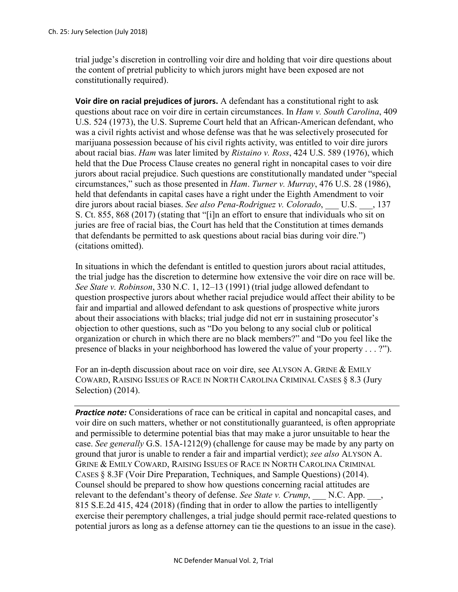trial judge's discretion in controlling voir dire and holding that voir dire questions about the content of pretrial publicity to which jurors might have been exposed are not constitutionally required).

**Voir dire on racial prejudices of jurors.** A defendant has a constitutional right to ask questions about race on voir dire in certain circumstances. In *Ham v. South Carolina*, 409 U.S. 524 (1973), the U.S. Supreme Court held that an African-American defendant, who was a civil rights activist and whose defense was that he was selectively prosecuted for marijuana possession because of his civil rights activity, was entitled to voir dire jurors about racial bias. *Ham* was later limited by *Ristaino v. Ross*, 424 U.S. 589 (1976), which held that the Due Process Clause creates no general right in noncapital cases to voir dire jurors about racial prejudice. Such questions are constitutionally mandated under "special circumstances," such as those presented in *Ham*. *Turner v. Murray*, 476 U.S. 28 (1986), held that defendants in capital cases have a right under the Eighth Amendment to voir dire jurors about racial biases. *See also Pena-Rodriguez v. Colorado*, U.S. , 137 S. Ct. 855, 868 (2017) (stating that "[i]n an effort to ensure that individuals who sit on juries are free of racial bias, the Court has held that the Constitution at times demands that defendants be permitted to ask questions about racial bias during voir dire.") (citations omitted).

In situations in which the defendant is entitled to question jurors about racial attitudes, the trial judge has the discretion to determine how extensive the voir dire on race will be. *See State v. Robinson*, 330 N.C. 1, 12–13 (1991) (trial judge allowed defendant to question prospective jurors about whether racial prejudice would affect their ability to be fair and impartial and allowed defendant to ask questions of prospective white jurors about their associations with blacks; trial judge did not err in sustaining prosecutor's objection to other questions, such as "Do you belong to any social club or political organization or church in which there are no black members?" and "Do you feel like the presence of blacks in your neighborhood has lowered the value of your property . . . ?").

For an in-depth discussion about race on voir dire, see ALYSON A. GRINE & EMILY COWARD, RAISING ISSUES OF RACE IN NORTH CAROLINA CRIMINAL CASES § 8.3 (Jury Selection) (2014).

**Practice note:** Considerations of race can be critical in capital and noncapital cases, and voir dire on such matters, whether or not constitutionally guaranteed, is often appropriate and permissible to determine potential bias that may make a juror unsuitable to hear the case. *See generally* G.S. 15A-1212(9) (challenge for cause may be made by any party on ground that juror is unable to render a fair and impartial verdict); *see also* ALYSON A. GRINE & EMILY COWARD, RAISING ISSUES OF RACE IN NORTH CAROLINA CRIMINAL CASES § 8.3F (Voir Dire Preparation, Techniques, and Sample Questions) (2014). Counsel should be prepared to show how questions concerning racial attitudes are relevant to the defendant's theory of defense. *See State v. Crump*, N.C. App.  $\blacksquare$ , 815 S.E.2d 415, 424 (2018) (finding that in order to allow the parties to intelligently exercise their peremptory challenges, a trial judge should permit race-related questions to potential jurors as long as a defense attorney can tie the questions to an issue in the case).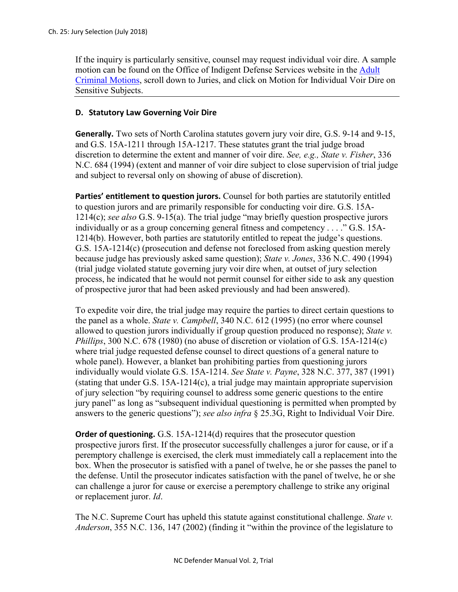If the inquiry is particularly sensitive, counsel may request individual voir dire. A sample motion can be found on the Office of Indigent Defense Services website in the [Adult](https://www.ncids.org/adult-criminal-cases/adult-criminal-motions/)  [Criminal Motions,](https://www.ncids.org/adult-criminal-cases/adult-criminal-motions/) scroll down to Juries, and click on Motion for Individual Voir Dire on Sensitive Subjects.

#### **D. Statutory Law Governing Voir Dire**

**Generally.** Two sets of North Carolina statutes govern jury voir dire, G.S. 9-14 and 9-15, and G.S. 15A-1211 through 15A-1217. These statutes grant the trial judge broad discretion to determine the extent and manner of voir dire. *See, e.g., State v. Fisher*, 336 N.C. 684 (1994) (extent and manner of voir dire subject to close supervision of trial judge and subject to reversal only on showing of abuse of discretion).

**Parties' entitlement to question jurors.** Counsel for both parties are statutorily entitled to question jurors and are primarily responsible for conducting voir dire. G.S. 15A-1214(c); *see also* G.S. 9-15(a). The trial judge "may briefly question prospective jurors individually or as a group concerning general fitness and competency . . . ." G.S. 15A-1214(b). However, both parties are statutorily entitled to repeat the judge's questions. G.S. 15A-1214(c) (prosecution and defense not foreclosed from asking question merely because judge has previously asked same question); *State v. Jones*, 336 N.C. 490 (1994) (trial judge violated statute governing jury voir dire when, at outset of jury selection process, he indicated that he would not permit counsel for either side to ask any question of prospective juror that had been asked previously and had been answered).

To expedite voir dire, the trial judge may require the parties to direct certain questions to the panel as a whole. *State v. Campbell*, 340 N.C. 612 (1995) (no error where counsel allowed to question jurors individually if group question produced no response); *State v. Phillips*, 300 N.C. 678 (1980) (no abuse of discretion or violation of G.S. 15A-1214(c) where trial judge requested defense counsel to direct questions of a general nature to whole panel). However, a blanket ban prohibiting parties from questioning jurors individually would violate G.S. 15A-1214. *See State v. Payne*, 328 N.C. 377, 387 (1991) (stating that under G.S. 15A-1214(c), a trial judge may maintain appropriate supervision of jury selection "by requiring counsel to address some generic questions to the entire jury panel" as long as "subsequent individual questioning is permitted when prompted by answers to the generic questions"); *see also infra* § 25.3G, Right to Individual Voir Dire.

**Order of questioning.** G.S. 15A-1214(d) requires that the prosecutor question prospective jurors first. If the prosecutor successfully challenges a juror for cause, or if a peremptory challenge is exercised, the clerk must immediately call a replacement into the box. When the prosecutor is satisfied with a panel of twelve, he or she passes the panel to the defense. Until the prosecutor indicates satisfaction with the panel of twelve, he or she can challenge a juror for cause or exercise a peremptory challenge to strike any original or replacement juror. *Id*.

The N.C. Supreme Court has upheld this statute against constitutional challenge. *State v. Anderson*, 355 N.C. 136, 147 (2002) (finding it "within the province of the legislature to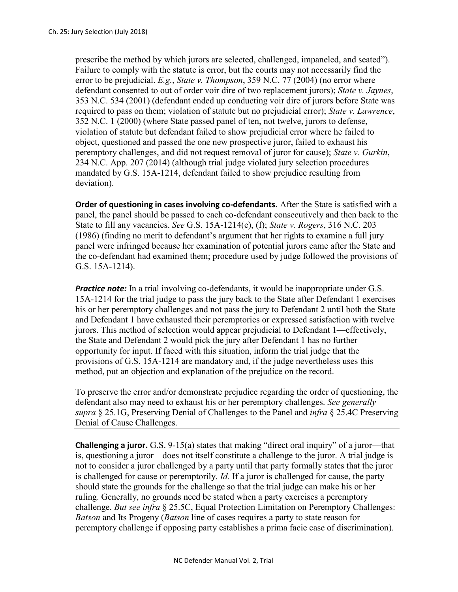prescribe the method by which jurors are selected, challenged, impaneled, and seated"). Failure to comply with the statute is error, but the courts may not necessarily find the error to be prejudicial. *E.g.*, *State v. Thompson*, 359 N.C. 77 (2004) (no error where defendant consented to out of order voir dire of two replacement jurors); *State v. Jaynes*, 353 N.C. 534 (2001) (defendant ended up conducting voir dire of jurors before State was required to pass on them; violation of statute but no prejudicial error); *State v. Lawrence*, 352 N.C. 1 (2000) (where State passed panel of ten, not twelve, jurors to defense, violation of statute but defendant failed to show prejudicial error where he failed to object, questioned and passed the one new prospective juror, failed to exhaust his peremptory challenges, and did not request removal of juror for cause); *State v. Gurkin*, 234 N.C. App. 207 (2014) (although trial judge violated jury selection procedures mandated by G.S. 15A-1214, defendant failed to show prejudice resulting from deviation).

**Order of questioning in cases involving co-defendants.** After the State is satisfied with a panel, the panel should be passed to each co-defendant consecutively and then back to the State to fill any vacancies. *See* G.S. 15A-1214(e), (f); *State v. Rogers*, 316 N.C. 203 (1986) (finding no merit to defendant's argument that her rights to examine a full jury panel were infringed because her examination of potential jurors came after the State and the co-defendant had examined them; procedure used by judge followed the provisions of G.S. 15A-1214).

**Practice note:** In a trial involving co-defendants, it would be inappropriate under G.S. 15A-1214 for the trial judge to pass the jury back to the State after Defendant 1 exercises his or her peremptory challenges and not pass the jury to Defendant 2 until both the State and Defendant 1 have exhausted their peremptories or expressed satisfaction with twelve jurors. This method of selection would appear prejudicial to Defendant 1—effectively, the State and Defendant 2 would pick the jury after Defendant 1 has no further opportunity for input. If faced with this situation, inform the trial judge that the provisions of G.S. 15A-1214 are mandatory and, if the judge nevertheless uses this method, put an objection and explanation of the prejudice on the record.

To preserve the error and/or demonstrate prejudice regarding the order of questioning, the defendant also may need to exhaust his or her peremptory challenges. *See generally supra* § 25.1G, Preserving Denial of Challenges to the Panel and *infra* § 25.4C Preserving Denial of Cause Challenges.

**Challenging a juror.** G.S. 9-15(a) states that making "direct oral inquiry" of a juror—that is, questioning a juror—does not itself constitute a challenge to the juror. A trial judge is not to consider a juror challenged by a party until that party formally states that the juror is challenged for cause or peremptorily. *Id.* If a juror is challenged for cause, the party should state the grounds for the challenge so that the trial judge can make his or her ruling. Generally, no grounds need be stated when a party exercises a peremptory challenge. *But see infra* § 25.5C, Equal Protection Limitation on Peremptory Challenges: *Batson* and Its Progeny (*Batson* line of cases requires a party to state reason for peremptory challenge if opposing party establishes a prima facie case of discrimination).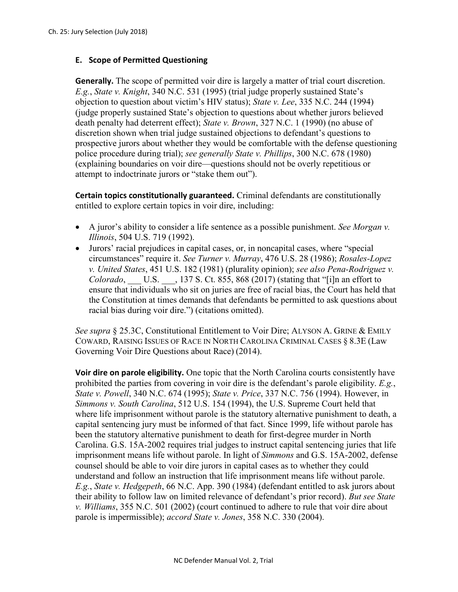### **E. Scope of Permitted Questioning**

**Generally.** The scope of permitted voir dire is largely a matter of trial court discretion. *E.g.*, *State v. Knight*, 340 N.C. 531 (1995) (trial judge properly sustained State's objection to question about victim's HIV status); *State v. Lee*, 335 N.C. 244 (1994) (judge properly sustained State's objection to questions about whether jurors believed death penalty had deterrent effect); *State v. Brown*, 327 N.C. 1 (1990) (no abuse of discretion shown when trial judge sustained objections to defendant's questions to prospective jurors about whether they would be comfortable with the defense questioning police procedure during trial); *see generally State v. Phillips*, 300 N.C. 678 (1980) (explaining boundaries on voir dire—questions should not be overly repetitious or attempt to indoctrinate jurors or "stake them out").

**Certain topics constitutionally guaranteed.** Criminal defendants are constitutionally entitled to explore certain topics in voir dire, including:

- A juror's ability to consider a life sentence as a possible punishment. *See Morgan v. Illinois*, 504 U.S. 719 (1992).
- Jurors' racial prejudices in capital cases, or, in noncapital cases, where "special circumstances" require it. *See Turner v. Murray*, 476 U.S. 28 (1986); *Rosales-Lopez v. United States*, 451 U.S. 182 (1981) (plurality opinion); *see also Pena-Rodriguez v. Colorado*, \_\_\_ U.S. \_\_\_, 137 S. Ct. 855, 868 (2017) (stating that "[i]n an effort to ensure that individuals who sit on juries are free of racial bias, the Court has held that the Constitution at times demands that defendants be permitted to ask questions about racial bias during voir dire.") (citations omitted).

*See supra* § 25.3C, Constitutional Entitlement to Voir Dire; ALYSON A. GRINE & EMILY COWARD, RAISING ISSUES OF RACE IN NORTH CAROLINA CRIMINAL CASES § 8.3E (Law Governing Voir Dire Questions about Race) (2014).

**Voir dire on parole eligibility.** One topic that the North Carolina courts consistently have prohibited the parties from covering in voir dire is the defendant's parole eligibility. *E.g.*, *State v. Powell*, 340 N.C. 674 (1995); *State v. Price*, 337 N.C. 756 (1994). However, in *Simmons v. South Carolina*, 512 U.S. 154 (1994), the U.S. Supreme Court held that where life imprisonment without parole is the statutory alternative punishment to death, a capital sentencing jury must be informed of that fact. Since 1999, life without parole has been the statutory alternative punishment to death for first-degree murder in North Carolina. G.S. 15A-2002 requires trial judges to instruct capital sentencing juries that life imprisonment means life without parole. In light of *Simmons* and G.S. 15A-2002, defense counsel should be able to voir dire jurors in capital cases as to whether they could understand and follow an instruction that life imprisonment means life without parole. *E.g.*, *State v. Hedgepeth*, 66 N.C. App. 390 (1984) (defendant entitled to ask jurors about their ability to follow law on limited relevance of defendant's prior record). *But see State v. Williams*, 355 N.C. 501 (2002) (court continued to adhere to rule that voir dire about parole is impermissible); *accord State v. Jones*, 358 N.C. 330 (2004).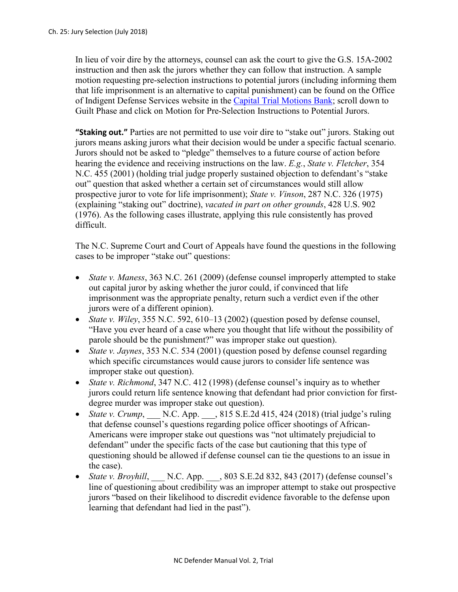In lieu of voir dire by the attorneys, counsel can ask the court to give the G.S. 15A-2002 instruction and then ask the jurors whether they can follow that instruction. A sample motion requesting pre-selection instructions to potential jurors (including informing them that life imprisonment is an alternative to capital punishment) can be found on the Office of Indigent Defense Services website in the [Capital Trial Motions](https://www.ncids.org/capital-cases/capital-motions/) Bank; scroll down to Guilt Phase and click on Motion for Pre-Selection Instructions to Potential Jurors.

**"Staking out."** Parties are not permitted to use voir dire to "stake out" jurors. Staking out jurors means asking jurors what their decision would be under a specific factual scenario. Jurors should not be asked to "pledge" themselves to a future course of action before hearing the evidence and receiving instructions on the law. *E.g.*, *State v. Fletcher*, 354 N.C. 455 (2001) (holding trial judge properly sustained objection to defendant's "stake out" question that asked whether a certain set of circumstances would still allow prospective juror to vote for life imprisonment); *State v. Vinson*, 287 N.C. 326 (1975) (explaining "staking out" doctrine), *vacated in part on other grounds*, 428 U.S. 902 (1976). As the following cases illustrate, applying this rule consistently has proved difficult.

The N.C. Supreme Court and Court of Appeals have found the questions in the following cases to be improper "stake out" questions:

- *State v. Maness*, 363 N.C. 261 (2009) (defense counsel improperly attempted to stake out capital juror by asking whether the juror could, if convinced that life imprisonment was the appropriate penalty, return such a verdict even if the other jurors were of a different opinion).
- *State v. Wiley*, 355 N.C. 592, 610–13 (2002) (question posed by defense counsel, "Have you ever heard of a case where you thought that life without the possibility of parole should be the punishment?" was improper stake out question).
- *State v. Jaynes*, 353 N.C. 534 (2001) (question posed by defense counsel regarding which specific circumstances would cause jurors to consider life sentence was improper stake out question).
- *State v. Richmond*, 347 N.C. 412 (1998) (defense counsel's inquiry as to whether jurors could return life sentence knowing that defendant had prior conviction for firstdegree murder was improper stake out question).
- *State v. Crump*, \_\_\_ N.C. App. \_\_\_, 815 S.E.2d 415, 424 (2018) (trial judge's ruling that defense counsel's questions regarding police officer shootings of African-Americans were improper stake out questions was "not ultimately prejudicial to defendant" under the specific facts of the case but cautioning that this type of questioning should be allowed if defense counsel can tie the questions to an issue in the case).
- *State v. Broyhill*, \_\_\_ N.C. App. \_\_\_, 803 S.E.2d 832, 843 (2017) (defense counsel's line of questioning about credibility was an improper attempt to stake out prospective jurors "based on their likelihood to discredit evidence favorable to the defense upon learning that defendant had lied in the past").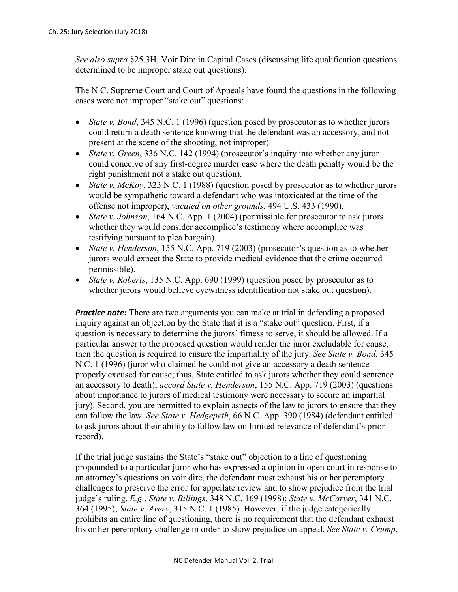*See also supra* §25.3H, Voir Dire in Capital Cases (discussing life qualification questions determined to be improper stake out questions).

The N.C. Supreme Court and Court of Appeals have found the questions in the following cases were not improper "stake out" questions:

- *State v. Bond*, 345 N.C. 1 (1996) (question posed by prosecutor as to whether jurors could return a death sentence knowing that the defendant was an accessory, and not present at the scene of the shooting, not improper).
- *State v. Green*, 336 N.C. 142 (1994) (prosecutor's inquiry into whether any juror could conceive of any first-degree murder case where the death penalty would be the right punishment not a stake out question).
- *State v. McKoy*, 323 N.C. 1 (1988) (question posed by prosecutor as to whether jurors would be sympathetic toward a defendant who was intoxicated at the time of the offense not improper), *vacated on other grounds*, 494 U.S. 433 (1990).
- *State v. Johnson*, 164 N.C. App. 1 (2004) (permissible for prosecutor to ask jurors whether they would consider accomplice's testimony where accomplice was testifying pursuant to plea bargain).
- *State v. Henderson*, 155 N.C. App. 719 (2003) (prosecutor's question as to whether jurors would expect the State to provide medical evidence that the crime occurred permissible).
- *State v. Roberts*, 135 N.C. App. 690 (1999) (question posed by prosecutor as to whether jurors would believe eyewitness identification not stake out question).

*Practice note:* There are two arguments you can make at trial in defending a proposed inquiry against an objection by the State that it is a "stake out" question. First, if a question is necessary to determine the jurors' fitness to serve, it should be allowed. If a particular answer to the proposed question would render the juror excludable for cause, then the question is required to ensure the impartiality of the jury. *See State v. Bond*, 345 N.C. 1 (1996) (juror who claimed he could not give an accessory a death sentence properly excused for cause; thus, State entitled to ask jurors whether they could sentence an accessory to death); *accord State v. Henderson*, 155 N.C. App. 719 (2003) (questions about importance to jurors of medical testimony were necessary to secure an impartial jury). Second, you are permitted to explain aspects of the law to jurors to ensure that they can follow the law. *See State v. Hedgepeth*, 66 N.C. App. 390 (1984) (defendant entitled to ask jurors about their ability to follow law on limited relevance of defendant's prior record).

If the trial judge sustains the State's "stake out" objection to a line of questioning propounded to a particular juror who has expressed a opinion in open court in response to an attorney's questions on voir dire, the defendant must exhaust his or her peremptory challenges to preserve the error for appellate review and to show prejudice from the trial judge's ruling. *E.g.*, *State v. Billings*, 348 N.C. 169 (1998); *State v. McCarver*, 341 N.C. 364 (1995); *State v. Avery*, 315 N.C. 1 (1985). However, if the judge categorically prohibits an entire line of questioning, there is no requirement that the defendant exhaust his or her peremptory challenge in order to show prejudice on appeal. *See State v. Crump*,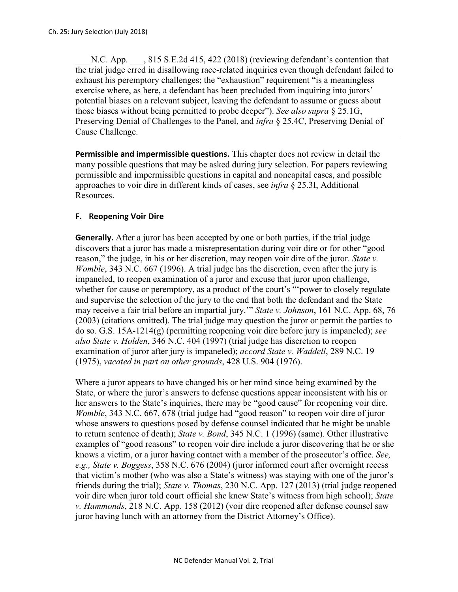N.C. App.  $\ldots$ , 815 S.E.2d 415, 422 (2018) (reviewing defendant's contention that the trial judge erred in disallowing race-related inquiries even though defendant failed to exhaust his peremptory challenges; the "exhaustion" requirement "is a meaningless exercise where, as here, a defendant has been precluded from inquiring into jurors' potential biases on a relevant subject, leaving the defendant to assume or guess about those biases without being permitted to probe deeper"). *See also supra* § 25.1G, Preserving Denial of Challenges to the Panel, and *infra* § 25.4C, Preserving Denial of Cause Challenge.

**Permissible and impermissible questions.** This chapter does not review in detail the many possible questions that may be asked during jury selection. For papers reviewing permissible and impermissible questions in capital and noncapital cases, and possible approaches to voir dire in different kinds of cases, see *infra* § 25.3I, Additional Resources.

## **F. Reopening Voir Dire**

**Generally.** After a juror has been accepted by one or both parties, if the trial judge discovers that a juror has made a misrepresentation during voir dire or for other "good reason," the judge, in his or her discretion, may reopen voir dire of the juror. *State v. Womble*, 343 N.C. 667 (1996). A trial judge has the discretion, even after the jury is impaneled, to reopen examination of a juror and excuse that juror upon challenge, whether for cause or peremptory, as a product of the court's "'power to closely regulate and supervise the selection of the jury to the end that both the defendant and the State may receive a fair trial before an impartial jury.'" *State v. Johnson*, 161 N.C. App. 68, 76 (2003) (citations omitted). The trial judge may question the juror or permit the parties to do so. G.S. 15A-1214(g) (permitting reopening voir dire before jury is impaneled); *see also State v. Holden*, 346 N.C. 404 (1997) (trial judge has discretion to reopen examination of juror after jury is impaneled); *accord State v. Waddell*, 289 N.C. 19 (1975), *vacated in part on other grounds*, 428 U.S. 904 (1976).

Where a juror appears to have changed his or her mind since being examined by the State, or where the juror's answers to defense questions appear inconsistent with his or her answers to the State's inquiries, there may be "good cause" for reopening voir dire. *Womble*, 343 N.C. 667, 678 (trial judge had "good reason" to reopen voir dire of juror whose answers to questions posed by defense counsel indicated that he might be unable to return sentence of death); *State v. Bond*, 345 N.C. 1 (1996) (same). Other illustrative examples of "good reasons" to reopen voir dire include a juror discovering that he or she knows a victim, or a juror having contact with a member of the prosecutor's office. *See, e.g., State v. Boggess*, 358 N.C. 676 (2004) (juror informed court after overnight recess that victim's mother (who was also a State's witness) was staying with one of the juror's friends during the trial); *State v. Thomas*, 230 N.C. App. 127 (2013) (trial judge reopened voir dire when juror told court official she knew State's witness from high school); *State v. Hammonds*, 218 N.C. App. 158 (2012) (voir dire reopened after defense counsel saw juror having lunch with an attorney from the District Attorney's Office).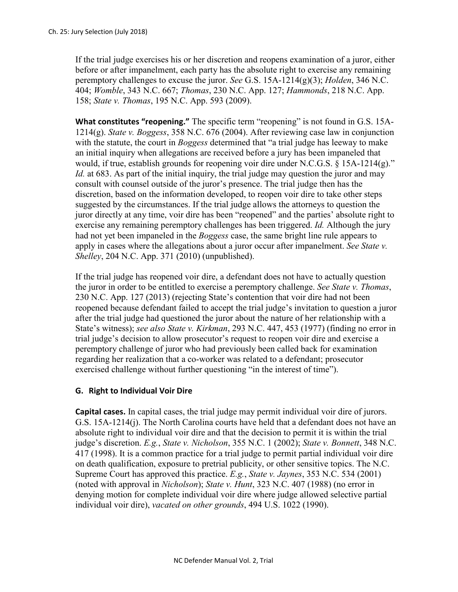If the trial judge exercises his or her discretion and reopens examination of a juror, either before or after impanelment, each party has the absolute right to exercise any remaining peremptory challenges to excuse the juror. *See* G.S. 15A-1214(g)(3); *Holden*, 346 N.C. 404; *Womble*, 343 N.C. 667; *Thomas*, 230 N.C. App. 127; *Hammonds*, 218 N.C. App. 158; *State v. Thomas*, 195 N.C. App. 593 (2009).

**What constitutes "reopening."** The specific term "reopening" is not found in G.S. 15A-1214(g). *State v. Boggess*, 358 N.C. 676 (2004). After reviewing case law in conjunction with the statute, the court in *Boggess* determined that "a trial judge has leeway to make an initial inquiry when allegations are received before a jury has been impaneled that would, if true, establish grounds for reopening voir dire under N.C.G.S. § 15A-1214(g)." *Id.* at 683. As part of the initial inquiry, the trial judge may question the juror and may consult with counsel outside of the juror's presence. The trial judge then has the discretion, based on the information developed, to reopen voir dire to take other steps suggested by the circumstances. If the trial judge allows the attorneys to question the juror directly at any time, voir dire has been "reopened" and the parties' absolute right to exercise any remaining peremptory challenges has been triggered. *Id.* Although the jury had not yet been impaneled in the *Boggess* case, the same bright line rule appears to apply in cases where the allegations about a juror occur after impanelment. *See State v. Shelley*, 204 N.C. App. 371 (2010) (unpublished).

If the trial judge has reopened voir dire, a defendant does not have to actually question the juror in order to be entitled to exercise a peremptory challenge. *See State v. Thomas*, 230 N.C. App. 127 (2013) (rejecting State's contention that voir dire had not been reopened because defendant failed to accept the trial judge's invitation to question a juror after the trial judge had questioned the juror about the nature of her relationship with a State's witness); *see also State v. Kirkman*, 293 N.C. 447, 453 (1977) (finding no error in trial judge's decision to allow prosecutor's request to reopen voir dire and exercise a peremptory challenge of juror who had previously been called back for examination regarding her realization that a co-worker was related to a defendant; prosecutor exercised challenge without further questioning "in the interest of time").

#### **G. Right to Individual Voir Dire**

**Capital cases.** In capital cases, the trial judge may permit individual voir dire of jurors. G.S. 15A-1214(j). The North Carolina courts have held that a defendant does not have an absolute right to individual voir dire and that the decision to permit it is within the trial judge's discretion. *E.g.*, *State v. Nicholson*, 355 N.C. 1 (2002); *State v. Bonnett*, 348 N.C. 417 (1998). It is a common practice for a trial judge to permit partial individual voir dire on death qualification, exposure to pretrial publicity, or other sensitive topics. The N.C. Supreme Court has approved this practice. *E.g.*, *State v. Jaynes*, 353 N.C. 534 (2001) (noted with approval in *Nicholson*); *State v. Hunt*, 323 N.C. 407 (1988) (no error in denying motion for complete individual voir dire where judge allowed selective partial individual voir dire), *vacated on other grounds*, 494 U.S. 1022 (1990).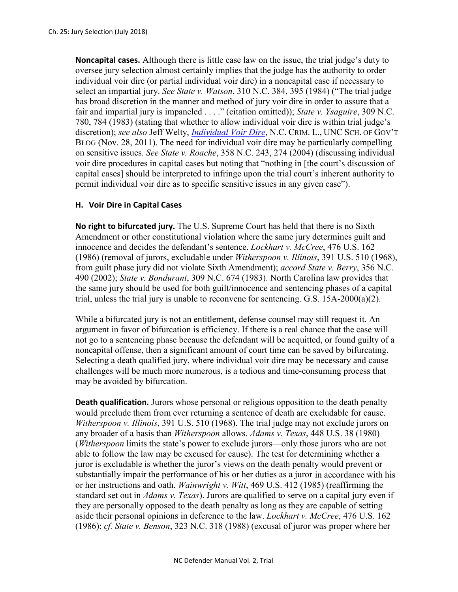**Noncapital cases.** Although there is little case law on the issue, the trial judge's duty to oversee jury selection almost certainly implies that the judge has the authority to order individual voir dire (or partial individual voir dire) in a noncapital case if necessary to select an impartial jury. *See State v. Watson*, 310 N.C. 384, 395 (1984) ("The trial judge has broad discretion in the manner and method of jury voir dire in order to assure that a fair and impartial jury is impaneled . . . ." (citation omitted)); *State v. Ysaguire*, 309 N.C. 780, 784 (1983) (stating that whether to allow individual voir dire is within trial judge's discretion); *see also* Jeff Welty, *[Individual Voir Dire](http://nccriminallaw.sog.unc.edu/individual-voir-dire/)*, N.C. CRIM. L., UNC SCH. OF GOV'T BLOG (Nov. 28, 2011). The need for individual voir dire may be particularly compelling on sensitive issues. *See State v. Roache*, 358 N.C. 243, 274 (2004) (discussing individual voir dire procedures in capital cases but noting that "nothing in [the court's discussion of capital cases] should be interpreted to infringe upon the trial court's inherent authority to permit individual voir dire as to specific sensitive issues in any given case").

#### **H. Voir Dire in Capital Cases**

**No right to bifurcated jury.** The U.S. Supreme Court has held that there is no Sixth Amendment or other constitutional violation where the same jury determines guilt and innocence and decides the defendant's sentence. *Lockhart v. McCree*, 476 U.S. 162 (1986) (removal of jurors, excludable under *Witherspoon v. Illinois*, 391 U.S. 510 (1968), from guilt phase jury did not violate Sixth Amendment); *accord State v. Berry*, 356 N.C. 490 (2002); *State v. Bondurant*, 309 N.C. 674 (1983). North Carolina law provides that the same jury should be used for both guilt/innocence and sentencing phases of a capital trial, unless the trial jury is unable to reconvene for sentencing. G.S. 15A-2000(a)(2).

While a bifurcated jury is not an entitlement, defense counsel may still request it. An argument in favor of bifurcation is efficiency. If there is a real chance that the case will not go to a sentencing phase because the defendant will be acquitted, or found guilty of a noncapital offense, then a significant amount of court time can be saved by bifurcating. Selecting a death qualified jury, where individual voir dire may be necessary and cause challenges will be much more numerous, is a tedious and time-consuming process that may be avoided by bifurcation.

**Death qualification.** Jurors whose personal or religious opposition to the death penalty would preclude them from ever returning a sentence of death are excludable for cause. *Witherspoon v. Illinois*, 391 U.S. 510 (1968). The trial judge may not exclude jurors on any broader of a basis than *Witherspoon* allows. *Adams v. Texas*, 448 U.S. 38 (1980) (*Witherspoon* limits the state's power to exclude jurors—only those jurors who are not able to follow the law may be excused for cause). The test for determining whether a juror is excludable is whether the juror's views on the death penalty would prevent or substantially impair the performance of his or her duties as a juror in accordance with his or her instructions and oath. *Wainwright v. Witt*, 469 U.S. 412 (1985) (reaffirming the standard set out in *Adams v. Texas*). Jurors are qualified to serve on a capital jury even if they are personally opposed to the death penalty as long as they are capable of setting aside their personal opinions in deference to the law. *Lockhart v. McCree*, 476 U.S. 162 (1986); *cf. State v. Benson*, 323 N.C. 318 (1988) (excusal of juror was proper where her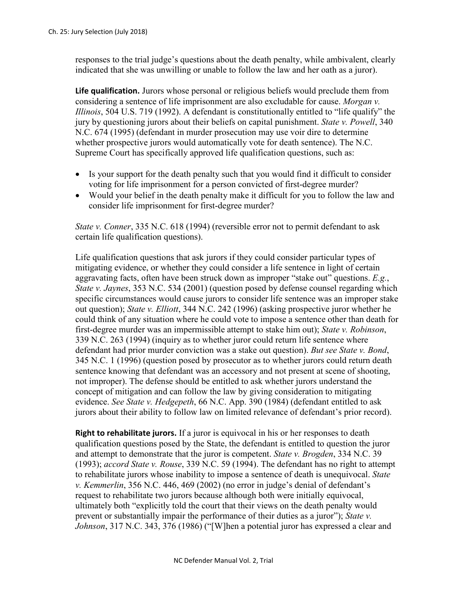responses to the trial judge's questions about the death penalty, while ambivalent, clearly indicated that she was unwilling or unable to follow the law and her oath as a juror).

**Life qualification.** Jurors whose personal or religious beliefs would preclude them from considering a sentence of life imprisonment are also excludable for cause. *Morgan v. Illinois*, 504 U.S. 719 (1992). A defendant is constitutionally entitled to "life qualify" the jury by questioning jurors about their beliefs on capital punishment. *State v. Powell*, 340 N.C. 674 (1995) (defendant in murder prosecution may use voir dire to determine whether prospective jurors would automatically vote for death sentence). The N.C. Supreme Court has specifically approved life qualification questions, such as:

- Is your support for the death penalty such that you would find it difficult to consider voting for life imprisonment for a person convicted of first-degree murder?
- Would your belief in the death penalty make it difficult for you to follow the law and consider life imprisonment for first-degree murder?

*State v. Conner*, 335 N.C. 618 (1994) (reversible error not to permit defendant to ask certain life qualification questions).

Life qualification questions that ask jurors if they could consider particular types of mitigating evidence, or whether they could consider a life sentence in light of certain aggravating facts, often have been struck down as improper "stake out" questions. *E.g.*, *State v. Jaynes*, 353 N.C. 534 (2001) (question posed by defense counsel regarding which specific circumstances would cause jurors to consider life sentence was an improper stake out question); *State v. Elliott*, 344 N.C. 242 (1996) (asking prospective juror whether he could think of any situation where he could vote to impose a sentence other than death for first-degree murder was an impermissible attempt to stake him out); *State v. Robinson*, 339 N.C. 263 (1994) (inquiry as to whether juror could return life sentence where defendant had prior murder conviction was a stake out question). *But see State v. Bond*, 345 N.C. 1 (1996) (question posed by prosecutor as to whether jurors could return death sentence knowing that defendant was an accessory and not present at scene of shooting, not improper). The defense should be entitled to ask whether jurors understand the concept of mitigation and can follow the law by giving consideration to mitigating evidence. *See State v. Hedgepeth*, 66 N.C. App. 390 (1984) (defendant entitled to ask jurors about their ability to follow law on limited relevance of defendant's prior record).

**Right to rehabilitate jurors.** If a juror is equivocal in his or her responses to death qualification questions posed by the State, the defendant is entitled to question the juror and attempt to demonstrate that the juror is competent. *State v. Brogden*, 334 N.C. 39 (1993); *accord State v. Rouse*, 339 N.C. 59 (1994). The defendant has no right to attempt to rehabilitate jurors whose inability to impose a sentence of death is unequivocal. *State v. Kemmerlin*, 356 N.C. 446, 469 (2002) (no error in judge's denial of defendant's request to rehabilitate two jurors because although both were initially equivocal, ultimately both "explicitly told the court that their views on the death penalty would prevent or substantially impair the performance of their duties as a juror"); *State v. Johnson*, 317 N.C. 343, 376 (1986) ("[W]hen a potential juror has expressed a clear and